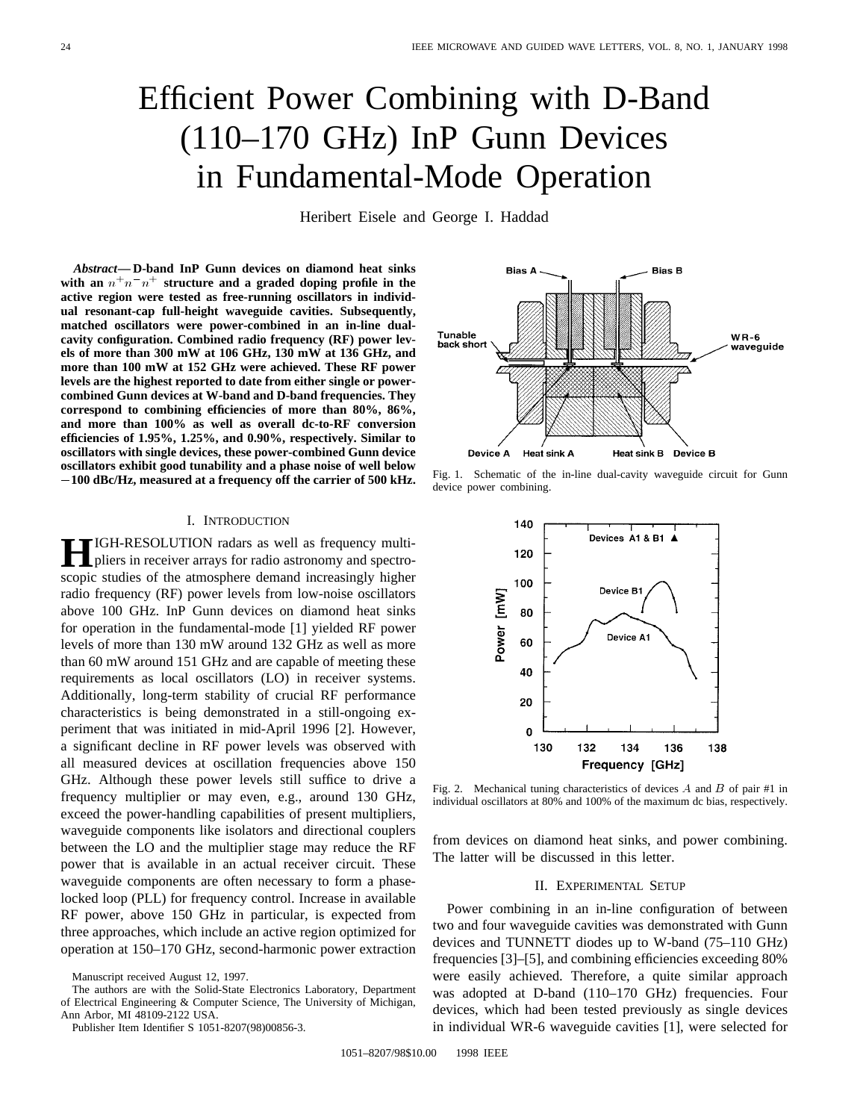# Efficient Power Combining with D-Band (110–170 GHz) InP Gunn Devices in Fundamental-Mode Operation

Heribert Eisele and George I. Haddad

*Abstract—* **D-band InP Gunn devices on diamond heat sinks** with an  $n+n^2$  structure and a graded doping profile in the **active region were tested as free-running oscillators in individual resonant-cap full-height waveguide cavities. Subsequently, matched oscillators were power-combined in an in-line dualcavity configuration. Combined radio frequency (RF) power levels of more than 300 mW at 106 GHz, 130 mW at 136 GHz, and more than 100 mW at 152 GHz were achieved. These RF power levels are the highest reported to date from either single or powercombined Gunn devices at W-band and D-band frequencies. They correspond to combining efficiencies of more than 80%, 86%, and more than 100% as well as overall dc-to-RF conversion efficiencies of 1.95%, 1.25%, and 0.90%, respectively. Similar to oscillators with single devices, these power-combined Gunn device oscillators exhibit good tunability and a phase noise of well below 100 dBc/Hz, measured at a frequency off the carrier of 500 kHz.**

## I. INTRODUCTION

**H**IGH-RESOLUTION radars as well as frequency multipliers in receiver arrays for radio astronomy and spectroscopic studies of the atmosphere demand increasingly higher radio frequency (RF) power levels from low-noise oscillators above 100 GHz. InP Gunn devices on diamond heat sinks for operation in the fundamental-mode [1] yielded RF power levels of more than 130 mW around 132 GHz as well as more than 60 mW around 151 GHz and are capable of meeting these requirements as local oscillators (LO) in receiver systems. Additionally, long-term stability of crucial RF performance characteristics is being demonstrated in a still-ongoing experiment that was initiated in mid-April 1996 [2]. However, a significant decline in RF power levels was observed with all measured devices at oscillation frequencies above 150 GHz. Although these power levels still suffice to drive a frequency multiplier or may even, e.g., around 130 GHz, exceed the power-handling capabilities of present multipliers, waveguide components like isolators and directional couplers between the LO and the multiplier stage may reduce the RF power that is available in an actual receiver circuit. These waveguide components are often necessary to form a phaselocked loop (PLL) for frequency control. Increase in available RF power, above 150 GHz in particular, is expected from three approaches, which include an active region optimized for operation at 150–170 GHz, second-harmonic power extraction

The authors are with the Solid-State Electronics Laboratory, Department of Electrical Engineering & Computer Science, The University of Michigan, Ann Arbor, MI 48109-2122 USA.



Fig. 1. Schematic of the in-line dual-cavity waveguide circuit for Gunn device power combining.



Fig. 2. Mechanical tuning characteristics of devices A and B of pair #1 in individual oscillators at 80% and 100% of the maximum dc bias, respectively.

from devices on diamond heat sinks, and power combining. The latter will be discussed in this letter.

#### II. EXPERIMENTAL SETUP

Power combining in an in-line configuration of between two and four waveguide cavities was demonstrated with Gunn devices and TUNNETT diodes up to W-band (75–110 GHz) frequencies [3]–[5], and combining efficiencies exceeding 80% were easily achieved. Therefore, a quite similar approach was adopted at D-band (110–170 GHz) frequencies. Four devices, which had been tested previously as single devices in individual WR-6 waveguide cavities [1], were selected for

Manuscript received August 12, 1997.

Publisher Item Identifier S 1051-8207(98)00856-3.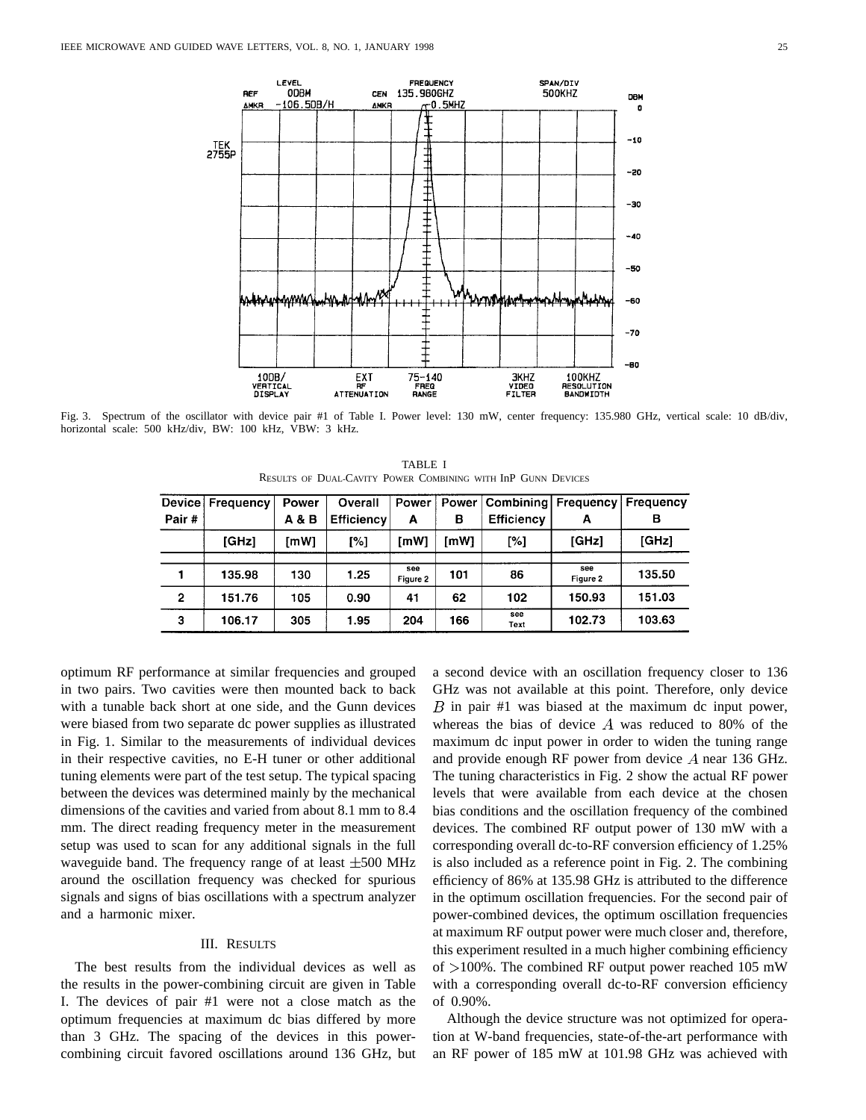

Fig. 3. Spectrum of the oscillator with device pair #1 of Table I. Power level: 130 mW, center frequency: 135.980 GHz, vertical scale: 10 dB/div, horizontal scale: 500 kHz/div, BW: 100 kHz, VBW: 3 kHz.

TABLE I RESULTS OF DUAL-CAVITY POWER COMBINING WITH InP GUNN DEVICES

| Device       | Frequency | Power | Overall           | Power           | Power | Combining!        | Frequency       | Frequency |
|--------------|-----------|-------|-------------------|-----------------|-------|-------------------|-----------------|-----------|
| Pair#        |           | A & B | <b>Efficiency</b> | А               | в     | <b>Efficiency</b> | А               | в         |
|              | [GHz]     | [mW]  | [%]               | [mW]            | [mW]  | [%]               | [GHz]           | [GHz]     |
|              | 135.98    | 130   | 1.25              | see<br>Figure 2 | 101   | 86                | see<br>Figure 2 | 135.50    |
| $\mathbf{2}$ | 151.76    | 105   | 0.90              | 41              | 62    | 102               | 150.93          | 151.03    |
| 3            | 106.17    | 305   | 1.95              | 204             | 166   | see<br>Text       | 102.73          | 103.63    |

optimum RF performance at similar frequencies and grouped in two pairs. Two cavities were then mounted back to back with a tunable back short at one side, and the Gunn devices were biased from two separate dc power supplies as illustrated in Fig. 1. Similar to the measurements of individual devices in their respective cavities, no E-H tuner or other additional tuning elements were part of the test setup. The typical spacing between the devices was determined mainly by the mechanical dimensions of the cavities and varied from about 8.1 mm to 8.4 mm. The direct reading frequency meter in the measurement setup was used to scan for any additional signals in the full waveguide band. The frequency range of at least  $\pm 500$  MHz around the oscillation frequency was checked for spurious signals and signs of bias oscillations with a spectrum analyzer and a harmonic mixer.

## III. RESULTS

The best results from the individual devices as well as the results in the power-combining circuit are given in Table I. The devices of pair #1 were not a close match as the optimum frequencies at maximum dc bias differed by more than 3 GHz. The spacing of the devices in this powercombining circuit favored oscillations around 136 GHz, but a second device with an oscillation frequency closer to 136 GHz was not available at this point. Therefore, only device  $B$  in pair #1 was biased at the maximum dc input power, whereas the bias of device  $A$  was reduced to 80% of the maximum dc input power in order to widen the tuning range and provide enough RF power from device  $A$  near 136 GHz. The tuning characteristics in Fig. 2 show the actual RF power levels that were available from each device at the chosen bias conditions and the oscillation frequency of the combined devices. The combined RF output power of 130 mW with a corresponding overall dc-to-RF conversion efficiency of 1.25% is also included as a reference point in Fig. 2. The combining efficiency of 86% at 135.98 GHz is attributed to the difference in the optimum oscillation frequencies. For the second pair of power-combined devices, the optimum oscillation frequencies at maximum RF output power were much closer and, therefore, this experiment resulted in a much higher combining efficiency of  $>100\%$ . The combined RF output power reached 105 mW with a corresponding overall dc-to-RF conversion efficiency of 0.90%.

Although the device structure was not optimized for operation at W-band frequencies, state-of-the-art performance with an RF power of 185 mW at 101.98 GHz was achieved with